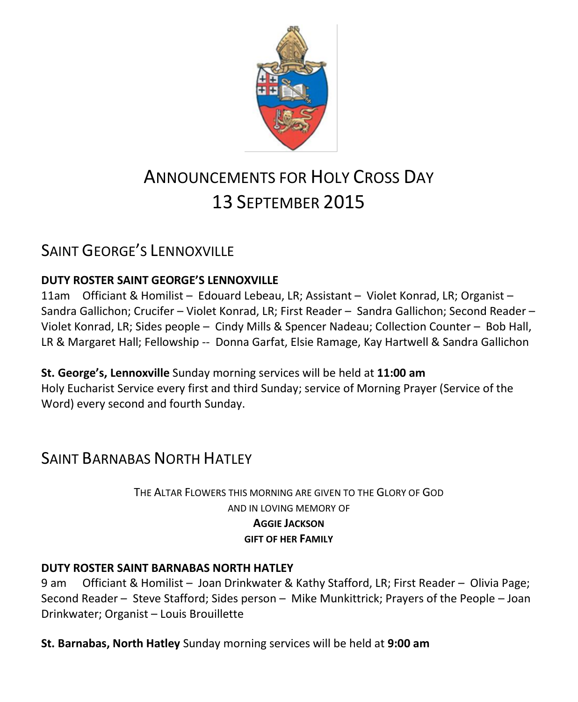

# ANNOUNCEMENTS FOR HOLY CROSS DAY 13 SEPTEMBER 2015

# SAINT GEORGE'S LENNOXVILLE

### **DUTY ROSTER SAINT GEORGE'S LENNOXVILLE**

11am Officiant & Homilist – Edouard Lebeau, LR; Assistant – Violet Konrad, LR; Organist – Sandra Gallichon; Crucifer – Violet Konrad, LR; First Reader – Sandra Gallichon; Second Reader – Violet Konrad, LR; Sides people – Cindy Mills & Spencer Nadeau; Collection Counter – Bob Hall, LR & Margaret Hall; Fellowship -- Donna Garfat, Elsie Ramage, Kay Hartwell & Sandra Gallichon

**St. George's, Lennoxville** Sunday morning services will be held at **11:00 am** Holy Eucharist Service every first and third Sunday; service of Morning Prayer (Service of the Word) every second and fourth Sunday.

# **SAINT BARNABAS NORTH HATLEY**

THE ALTAR FLOWERS THIS MORNING ARE GIVEN TO THE GLORY OF GOD AND IN LOVING MEMORY OF **AGGIE JACKSON GIFT OF HER FAMILY**

### **DUTY ROSTER SAINT BARNABAS NORTH HATLEY**

9 am Officiant & Homilist – Joan Drinkwater & Kathy Stafford, LR; First Reader – Olivia Page; Second Reader – Steve Stafford; Sides person – Mike Munkittrick; Prayers of the People – Joan Drinkwater; Organist – Louis Brouillette

**St. Barnabas, North Hatley** Sunday morning services will be held at **9:00 am**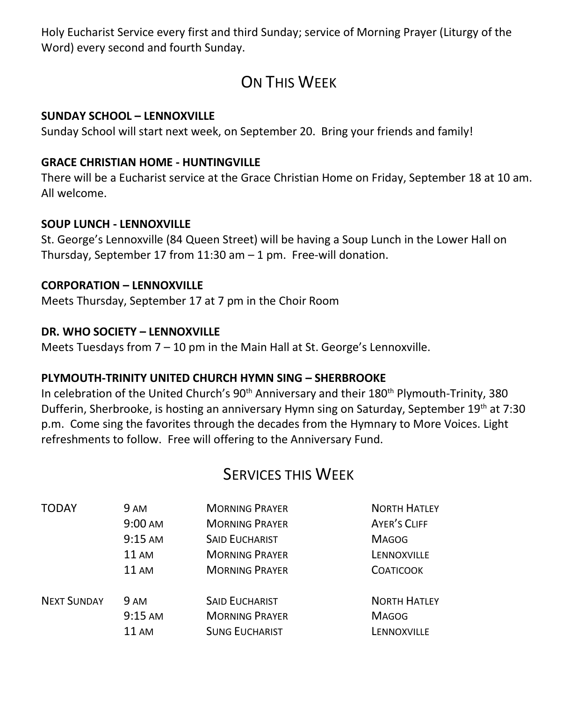Holy Eucharist Service every first and third Sunday; service of Morning Prayer (Liturgy of the Word) every second and fourth Sunday.

# ON THIS WFFK

### **SUNDAY SCHOOL – LENNOXVILLE**

Sunday School will start next week, on September 20. Bring your friends and family!

### **GRACE CHRISTIAN HOME - HUNTINGVILLE**

There will be a Eucharist service at the Grace Christian Home on Friday, September 18 at 10 am. All welcome.

### **SOUP LUNCH - LENNOXVILLE**

St. George's Lennoxville (84 Queen Street) will be having a Soup Lunch in the Lower Hall on Thursday, September 17 from  $11:30$  am  $-1$  pm. Free-will donation.

### **CORPORATION – LENNOXVILLE**

Meets Thursday, September 17 at 7 pm in the Choir Room

### **DR. WHO SOCIETY – LENNOXVILLE**

Meets Tuesdays from  $7 - 10$  pm in the Main Hall at St. George's Lennoxville.

### **PLYMOUTH-TRINITY UNITED CHURCH HYMN SING – SHERBROOKE**

In celebration of the United Church's 90<sup>th</sup> Anniversary and their 180<sup>th</sup> Plymouth-Trinity, 380 Dufferin, Sherbrooke, is hosting an anniversary Hymn sing on Saturday, September 19th at 7:30 p.m. Come sing the favorites through the decades from the Hymnary to More Voices. Light refreshments to follow. Free will offering to the Anniversary Fund.

### SERVICES THIS WEEK

| <b>TODAY</b>       | 9 AM              | <b>MORNING PRAYER</b> | <b>NORTH HATLEY</b> |
|--------------------|-------------------|-----------------------|---------------------|
|                    | $9:00 \text{ AM}$ | <b>MORNING PRAYER</b> | AYER'S CLIFF        |
|                    | $9:15 \text{ AM}$ | <b>SAID EUCHARIST</b> | <b>MAGOG</b>        |
|                    | <b>11 AM</b>      | <b>MORNING PRAYER</b> | LENNOXVILLE         |
|                    | <b>11 AM</b>      | <b>MORNING PRAYER</b> | <b>COATICOOK</b>    |
| <b>NEXT SUNDAY</b> | 9 AM              | <b>SAID EUCHARIST</b> | <b>NORTH HATLEY</b> |
|                    | $9:15$ AM         | <b>MORNING PRAYER</b> | <b>MAGOG</b>        |
|                    | $11 \text{ AM}$   | <b>SUNG EUCHARIST</b> | LENNOXVILLE         |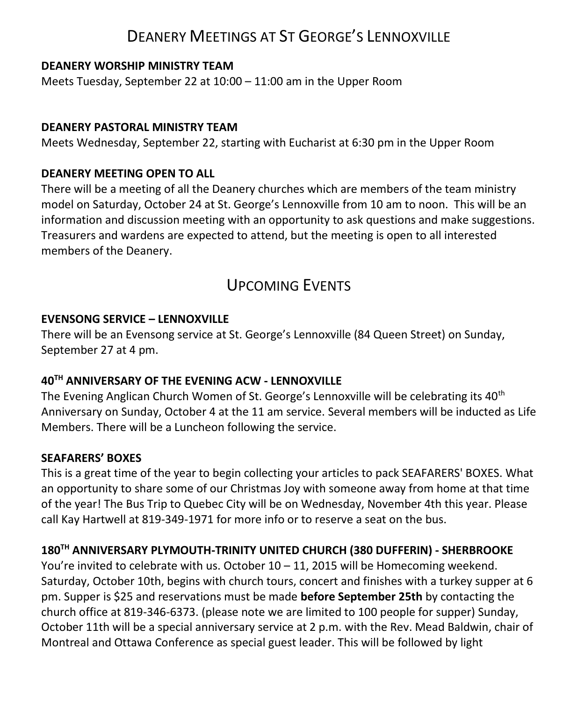### DEANERY MEETINGS AT ST GEORGE'S LENNOXVILLE

### **DEANERY WORSHIP MINISTRY TEAM**

Meets Tuesday, September 22 at 10:00 – 11:00 am in the Upper Room

### **DEANERY PASTORAL MINISTRY TEAM**

Meets Wednesday, September 22, starting with Eucharist at 6:30 pm in the Upper Room

### **DEANERY MEETING OPEN TO ALL**

There will be a meeting of all the Deanery churches which are members of the team ministry model on Saturday, October 24 at St. George's Lennoxville from 10 am to noon. This will be an information and discussion meeting with an opportunity to ask questions and make suggestions. Treasurers and wardens are expected to attend, but the meeting is open to all interested members of the Deanery.

### UPCOMING EVENTS

### **EVENSONG SERVICE – LENNOXVILLE**

There will be an Evensong service at St. George's Lennoxville (84 Queen Street) on Sunday, September 27 at 4 pm.

### **40 TH ANNIVERSARY OF THE EVENING ACW - LENNOXVILLE**

The Evening Anglican Church Women of St. George's Lennoxville will be celebrating its 40<sup>th</sup> Anniversary on Sunday, October 4 at the 11 am service. Several members will be inducted as Life Members. There will be a Luncheon following the service.

### **SEAFARERS' BOXES**

This is a great time of the year to begin collecting your articles to pack SEAFARERS' BOXES. What an opportunity to share some of our Christmas Joy with someone away from home at that time of the year! The Bus Trip to Quebec City will be on Wednesday, November 4th this year. Please call Kay Hartwell at 819-349-1971 for more info or to reserve a seat on the bus.

### **180TH ANNIVERSARY PLYMOUTH-TRINITY UNITED CHURCH (380 DUFFERIN) - SHERBROOKE**

You're invited to celebrate with us. October 10 – 11, 2015 will be Homecoming weekend. Saturday, October 10th, begins with church tours, concert and finishes with a turkey supper at 6 pm. Supper is \$25 and reservations must be made **before September 25th** by contacting the church office at 819-346-6373. (please note we are limited to 100 people for supper) Sunday, October 11th will be a special anniversary service at 2 p.m. with the Rev. Mead Baldwin, chair of Montreal and Ottawa Conference as special guest leader. This will be followed by light